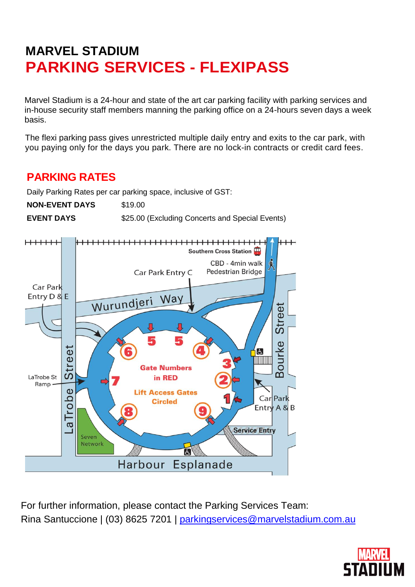# **MARVEL STADIUM PARKING SERVICES - FLEXIPASS**

Marvel Stadium is a 24-hour and state of the art car parking facility with parking services and in-house security staff members manning the parking office on a 24-hours seven days a week basis.

The flexi parking pass gives unrestricted multiple daily entry and exits to the car park, with you paying only for the days you park. There are no lock-in contracts or credit card fees.

## **PARKING RATES**

Daily Parking Rates per car parking space, inclusive of GST:

**NON-EVENT DAYS** \$19.00

**EVENT DAYS** \$25.00 (Excluding Concerts and Special Events)



For further information, please contact the Parking Services Team: Rina Santuccione | (03) 8625 7201 | [parkingservices@marvelstadium.com.au](mailto:parkingservices@marvelstadium.com.au)

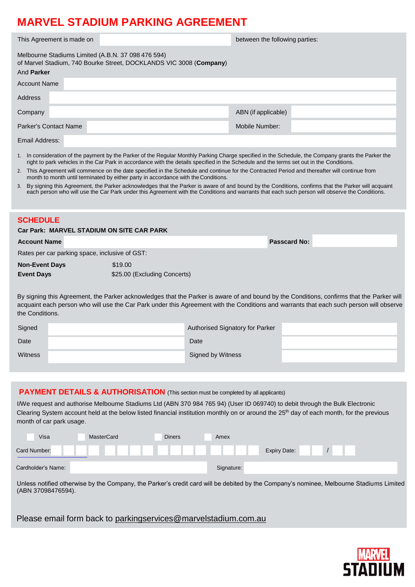## **MARVEL STADIUM PARKING AGREEMENT**

| This Agreement is made on                                                                                                                           |                                                                                                                                                                                                                                                                                                      | between the following parties: |  |  |
|-----------------------------------------------------------------------------------------------------------------------------------------------------|------------------------------------------------------------------------------------------------------------------------------------------------------------------------------------------------------------------------------------------------------------------------------------------------------|--------------------------------|--|--|
| Melbourne Stadiums Limited (A.B.N. 37 098 476 594)<br>of Marvel Stadium, 740 Bourke Street, DOCKLANDS VIC 3008 (Company)                            |                                                                                                                                                                                                                                                                                                      |                                |  |  |
| And <b>Parker</b>                                                                                                                                   |                                                                                                                                                                                                                                                                                                      |                                |  |  |
| Account Name                                                                                                                                        |                                                                                                                                                                                                                                                                                                      |                                |  |  |
| Address                                                                                                                                             |                                                                                                                                                                                                                                                                                                      |                                |  |  |
| Company                                                                                                                                             |                                                                                                                                                                                                                                                                                                      | ABN (if applicable)            |  |  |
| Parker's Contact Name                                                                                                                               |                                                                                                                                                                                                                                                                                                      | Mobile Number:                 |  |  |
| Email Address:                                                                                                                                      |                                                                                                                                                                                                                                                                                                      |                                |  |  |
| 1. In consideration of the payment by the Parker of the Regular Monthly Parking Charge specified in the Schedule, the Company grants the Parker the | right to park vehicles in the Car Park in accordance with the details specified in the Schedule and the terms set out in the Conditions.                                                                                                                                                             |                                |  |  |
| 2.                                                                                                                                                  | This Agreement will commence on the date specified in the Schedule and continue for the Contracted Period and thereafter will continue from<br>month to month until terminated by either party in accordance with the Conditions.                                                                    |                                |  |  |
| 3.                                                                                                                                                  | By signing this Agreement, the Parker acknowledges that the Parker is aware of and bound by the Conditions, confirms that the Parker will acquaint<br>each person who will use the Car Park under this Agreement with the Conditions and warrants that each such person will observe the Conditions. |                                |  |  |

### **SCHEDULE**

| <b>Passcard No:</b> |
|---------------------|
|                     |
|                     |
|                     |
|                     |

By signing this Agreement, the Parker acknowledges that the Parker is aware of and bound by the Conditions, confirms that the Parker will acquaint each person who will use the Car Park under this Agreement with the Conditions and warrants that each such person will observe the Conditions.

| Signed         | Authorised Signatory for Parker |  |
|----------------|---------------------------------|--|
| Date           | Date                            |  |
| <b>Witness</b> | Signed by Witness               |  |

### **PAYMENT DETAILS & AUTHORISATION** (This section must be completed by all applicants)

I/We request and authorise Melbourne Stadiums Ltd (ABN 370 984 765 94) (User ID 069740) to debit through the Bulk Electronic Clearing System account held at the below listed financial institution monthly on or around the 25<sup>th</sup> day of each month, for the previous month of car park usage.

| Visa               | MasterCard | <b>Diners</b> | Amex                |  |
|--------------------|------------|---------------|---------------------|--|
| Card Number:       |            |               | <b>Expiry Date:</b> |  |
| Cardholder's Name: |            |               | Signature:          |  |

Unless notified otherwise by the Company, the Parker's credit card will be debited by the Company's nominee, Melbourne Stadiums Limited (ABN 37098476594).

Please email form back to [parkingservices@marvelstadium.com.au](mailto:parkingservices@etihadstadium.com.au)